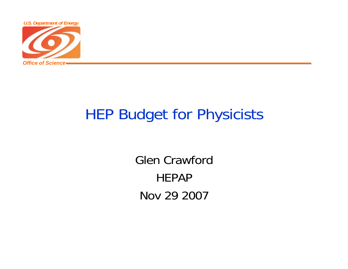

## HEP Budget for Physicists

Glen CrawfordHEPAPNov 29 2007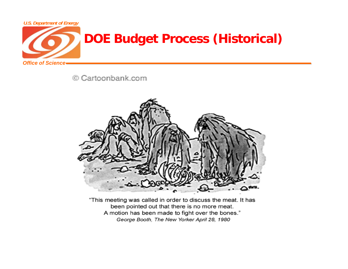

© Cartoonbank.com



"This meeting was called in order to discuss the meat. It has been pointed out that there is no more meat. A motion has been made to fight over the bones." George Booth, The New Yorker April 28, 1980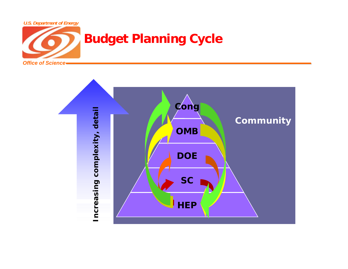

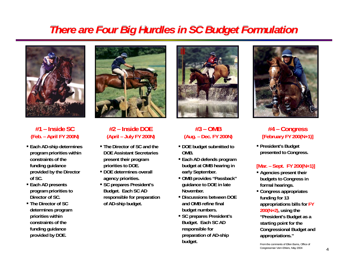### *There are Four Big Hurdles in SC Budget Formulation*



**#1 – Inside SC(Feb. – April FY 200N)**

- **Each AD-ship determines program priorities within constraints of the funding guidance provided by the Director of SC.**
- **Each AD presents program priorities to Director of SC.**
- **The Director of SC determines program priorities within constraints of the funding guidance provided by DOE.**



#### **#2 – Inside DOE(April – July FY 200N)**

- **The Director of SC and the DOE Assistant Secretaries present their program priorities to DOE.**
- **DOE determines overall agency priorities.**
- **SC prepares President's Budget. Each SC AD responsible for preparation of AD-ship budget.**



#### **#3 – OMB(Aug. – Dec. FY 200N)**

- **DOE budget submitted to OMB.**
- **Each AD defends program budget at OMB hearing in early September.**
- **OMB provides "Passback" guidance to DOE in late November.**
- **Discussions between DOE and OMB refine final budget numbers.**
- **SC prepares President's Budget. Each SC AD responsible for preparation of AD-ship budget.**



#### **#4 – Congress [February FY 200(N+1)]**

 **President's Budget presented to Congress.**

#### **[Mar. – Sept. FY 200(N+1)]**

- **Agencies present their budgets to Congress in formal hearings.**
- **Congress appropriates funding for 13 appropriations bills for FY 200(N+2), using the "President's Budget as a starting point for the Congressional Budget and appropriations."**

From the comments of Ellen Burns, Office of Congressman Vern Ehlers, May 2004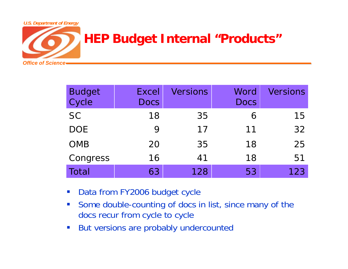

| Budget<br>Cycle | <b>Excel</b><br><b>Docs</b> | <b>Versions</b> | Word<br><b>Docs</b> | <b>Versions</b> |
|-----------------|-----------------------------|-----------------|---------------------|-----------------|
| <b>SC</b>       | 18                          | 35              | 6                   | 15              |
| <b>DOE</b>      | 9                           | 17              | 11                  | 32              |
| <b>OMB</b>      | 20                          | 35              | 18                  | 25              |
| Congress        | 16                          | 41              | 18                  | 51              |
| Total           | 63                          | 128             | 53                  | 123             |

- $\mathcal{L}_{\mathcal{A}}$ Data from FY2006 budget cycle
- $\mathcal{L}_{\mathcal{A}}$  Some double-counting of docs in list, since many of the docs recur from cycle to cycle
- $\overline{\phantom{a}}$ But versions are probably undercounted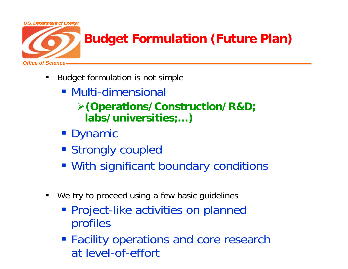

- ٠ Budget formulation is not simple
	- Multi-dimensional
		- ¾**(Operations/Construction/R&D; labs/universities;…)**
	- **Dynamic**
	- **Strongly coupled**
	- With significant boundary conditions
- $\blacksquare$ We try to proceed using a few basic guidelines
	- **Project-like activities on planned** profiles
	- **Facility operations and core research** at lovel of offart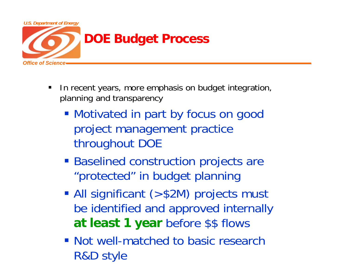

- $\blacksquare$  In recent years, more emphasis on budget integration, planning and transparency
	- **Motivated in part by focus on good** project management practice throughout DOE
	- **Baselined construction projects are** "protected" in budget planning
	- All significant (>\$2M) projects must be identified and approved internally **at least 1 year** before \$\$ flows
	- **Not well-matched to basic research** R&D style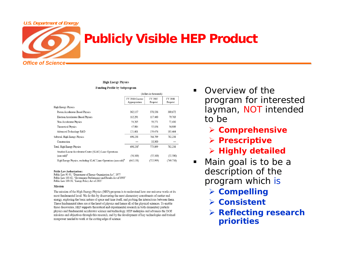# *Office of ScienceU.S. Department of Energy*

## **Publicly Visible HEP Product**

**High Energy Physics** 

#### **Funding Profile by Subprogram**

|                                                                             | (dollars in thousands)           |                    |                    |  |
|-----------------------------------------------------------------------------|----------------------------------|--------------------|--------------------|--|
|                                                                             | FY 2006 Current<br>Appropriation | FY 2007<br>Request | FY 2008<br>Request |  |
| High Energy Physics                                                         |                                  |                    |                    |  |
| Proton Accelerator-Based Physics                                            | 362,157                          | 376.536            | 389,672            |  |
| Electron Accelerator-Based Physics                                          | 112,291                          | 117.460            | 79.763             |  |
| Non-Accelerator Physics                                                     | 54.205                           | 59,271             | 72.430             |  |
| <b>Theoretical Physics</b>                                                  | 47,984                           | 52.056             | 56,909             |  |
| Advanced Technology R&D                                                     | 121.601                          | 159.476            | 183,464            |  |
| Subtotal, High Energy Physics                                               | 698.238                          | 764,799            | 782,238            |  |
| Construction                                                                |                                  | 10.300             |                    |  |
| Total, High Energy Physics                                                  | 698.238 <sup>a</sup>             | 775.099            | 782,238            |  |
| Stanford Linear Accelerator Center (SLAC) Linac Operations<br>$(non-add)^b$ | (56, 100)                        | (52,100)           | (32,500)           |  |
| High Energy Physics, excluding SLAC Linac Operations (non-add) <sup>b</sup> | (642.138)                        | (722.999)          | (749, 738)         |  |

#### **Public Law Authorizations:**

Public Law 95-91, "Department of Energy Organization Act", 1977 Public Law 103-62, "Government Performance and Results Act of 1993" Public Law 109-58, "Energy Policy Act of 2005"

#### **Mission**

The mission of the High Energy Physics (HEP) program is to understand how our universe works at its most fundamental level. We do this by discovering the most elementary constituents of matter and energy, exploring the basic nature of space and time itself, and probing the interactions between them. These fundamental ideas are at the heart of physics and hence all of the physical sciences. To enable these discoveries, HEP supports theoretical and experimental research in both elementary particle physics and fundamental accelerator science and technology. HEP underpins and advances the DOE missions and objectives through this research, and by the development of key technologies and trained manpower needed to work at the cutting edge of science.

- ٠ Overview of the program for interested layman, NOT intended to be
	- ¾ **Comprehensive**
	- ¾ **Prescriptive**
	- ¾ **Highly detailed**
- $\blacksquare$  Main goal is to be a description of the program which is
	- ¾ **Compelling**
	- ¾ **Consistent**
	- ¾ **Reflecting research priorities**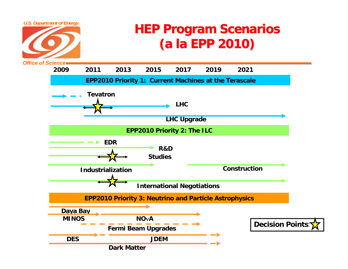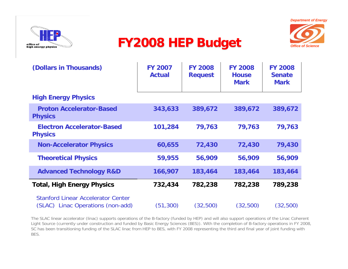



## **FY2008 HEP Budget** *Office of Science*



| (Dollars in Thousands)                                                         | <b>FY 2007</b><br><b>Actual</b> | <b>FY 2008</b><br><b>Request</b> | <b>FY 2008</b><br><b>House</b><br><b>Mark</b> | <b>FY 2008</b><br><b>Senate</b><br><b>Mark</b> |
|--------------------------------------------------------------------------------|---------------------------------|----------------------------------|-----------------------------------------------|------------------------------------------------|
| <b>High Energy Physics</b>                                                     |                                 |                                  |                                               |                                                |
| <b>Proton Accelerator-Based</b><br><b>Physics</b>                              | 343,633                         | 389,672                          | 389,672                                       | 389,672                                        |
| <b>Electron Accelerator-Based</b><br><b>Physics</b>                            | 101,284                         | 79,763                           | 79,763                                        | 79,763                                         |
| <b>Non-Accelerator Physics</b>                                                 | 60,655                          | 72,430                           | 72,430                                        | 79,430                                         |
| <b>Theoretical Physics</b>                                                     | 59,955                          | 56,909                           | 56,909                                        | 56,909                                         |
| <b>Advanced Technology R&amp;D</b>                                             | 166,907                         | 183,464                          | 183,464                                       | 183,464                                        |
| <b>Total, High Energy Physics</b>                                              | 732,434                         | 782,238                          | 782,238                                       | 789,238                                        |
| <b>Stanford Linear Accelerator Center</b><br>(SLAC) Linac Operations (non-add) | (51, 300)                       | (32,500)                         | (32,500)                                      | (32,500)                                       |

The SLAC linear accelerator (linac) supports operations of the B-factory (funded by HEP) and will also support operations of the Linac Coherent Light Source (currently under construction and funded by Basic Energy Sciences (BES)). With the completion of B-factory operations in FY 2008, SC has been transitioning funding of the SLAC linac from HEP to BES, with FY 2008 representing the third and final year of joint funding with BES.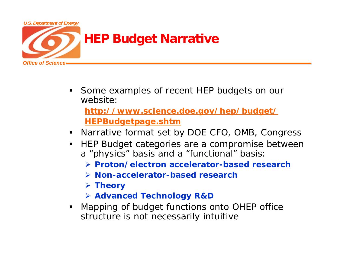

- ٠ Some examples of recent HEP budgets on our website:**<http://www.science.doe.gov/hep/budget/> HEPBudgetpage.shtm**
- Narrative format set by DOE CFO, OMB, Congress
- $\blacksquare$  HEP Budget categories are a compromise between <sup>a</sup>"physics" basis and a "functional" basis:
	- ¾ **Proton/electron accelerator-based research**
	- ¾ **Non-accelerator-based research**
	- ¾ **Theory**
	- ¾ **Advanced Technology R&D**
- $\blacksquare$  . Mapping of budget functions onto OHEP office structure is not necessarily intuitive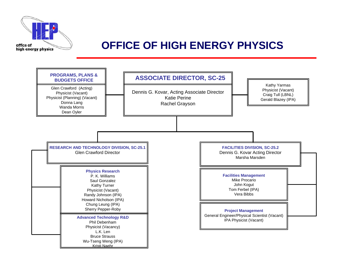

#### **OFFICE OF HIGH ENERGY PHYSICS**

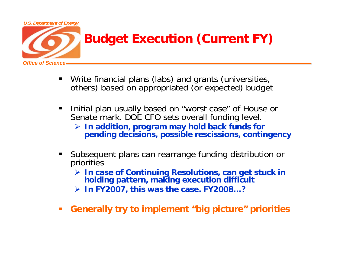

- $\blacksquare$ Write financial plans (labs) and grants (universities, others) based on appropriated (or expected) budget
- $\blacksquare$  Initial plan usually based on "worst case" of House or Senate mark. DOE CFO sets overall funding level.
	- ¾ **In addition, program may hold back funds for pending decisions, possible rescissions, contingency**
- П Subsequent plans can rearrange funding distribution or priorities
	- ¾ **In case of Continuing Resolutions, can get stuck in holding pattern, making execution difficult**
	- ¾ **In FY2007, this was the case. FY2008…?**
- $\mathcal{L}_{\mathcal{A}}$ **Generally try to implement "big picture" priorities**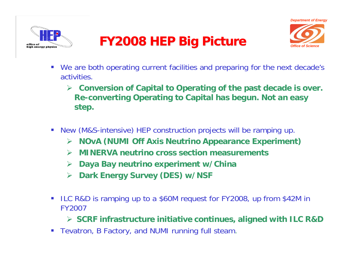



## **FY2008 HEP Big Picture**

- $\mathcal{L}_{\mathcal{A}}$  We are both operating current facilities and preparing for the next decade's activities.
	- ¾ **Conversion of Capital to Operating of the past decade is over. Re-converting Operating to Capital has begun. Not an easy step.**
- $\mathbb{R}^n$  New (M&S-intensive) HEP construction projects will be ramping up.
	- ¾**NOvA (NUMI Off Axis Neutrino Appearance Experiment)**
	- $\blacktriangleright$ **MINERVA neutrino cross section measurements**
	- ¾**Daya Bay neutrino experiment w/China**
	- $\blacktriangleright$ **Dark Energy Survey (DES) w/NSF**
- $\mathbb{R}^n$  ILC R&D is ramping up to a \$60M request for FY2008, up from \$42M in FY2007

¾ **SCRF infrastructure initiative continues, aligned with ILC R&D**

 $\mathcal{L}_{\mathcal{A}}$ Tevatron, B Factory, and NUMI running full steam.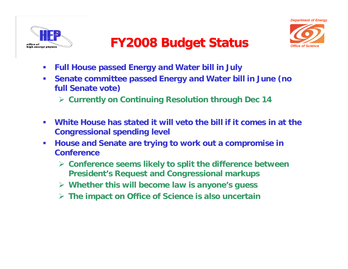



## **FY2008 Budget Status**

- $\mathcal{L}_{\mathcal{A}}$ **Full House passed Energy and Water bill in July**
- $\mathcal{L}_{\mathcal{A}}$  **Senate committee passed Energy and Water bill in June (no full Senate vote)**
	- ¾ **Currently on Continuing Resolution through Dec 14**
- $\mathcal{C}$  **White House has stated it will veto the bill if it comes in at the Congressional spending level**
- $\mathcal{C}$  **House and Senate are trying to work out a compromise in Conference**
	- ¾ **Conference seems likely to split the difference between President's Request and Congressional markups**
	- ¾ **Whether this will become law is anyone's guess**
	- ¾ **The impact on Office of Science is also uncertain**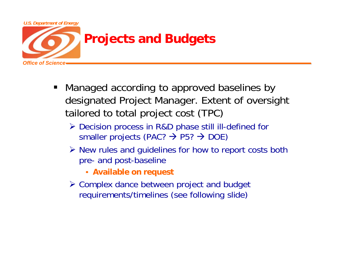

- Managed according to approved baselines by designated Project Manager. Extent of oversight tailored to total project cost (TPC)
	- ¾ Decision process in R&D phase still ill-defined for smaller projects (PAC?  $\rightarrow$  P5?  $\rightarrow$  DOE)
	- ¾ New rules and guidelines for how to report costs both pre- and post-baseline
		- **Available on request**
	- ¾ Complex dance between project and budget requirements/timelines (see following slide)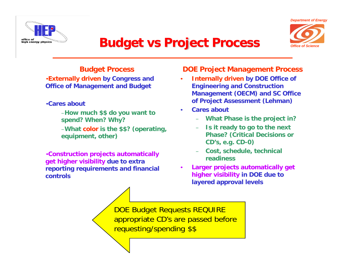



### **Budget vs Project Process**

#### **Budget Process**

•**Externally driven by Congress and Office of Management and Budget** 

•**Cares about** 

–**How much \$\$ do you want to spend? When? Why?** –**What color is the \$\$? (operating, equipment, other)**

•**Construction projects automatically get higher visibility due to extra reporting requirements and financial controls**

#### **DOE Project Management Process**

- • **Internally driven by DOE Office of Engineering and Construction Management (OECM) and SC Office of Project Assessment (Lehman)**
- • **Cares about** 
	- **What Phase is the project in?**
	- **Is it ready to go to the next Phase? (Critical Decisions or CD's, e.g. CD-0)**
	- **Cost, schedule, technical readiness**
- • **Larger projects automatically get higher visibility in DOE due to layered approval levels**

DOE Budget Requests REQUIRE appropriate CD's are passed before requesting/spending \$\$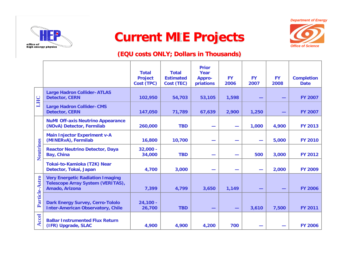

### **Current MIE Projects**



*Office of Science*

#### **(EQU costs ONLY; Dollars in Thousands)**

|                |                                                                                                | <b>Total</b><br><b>Project</b><br>Cost (TPC) | <b>Total</b><br><b>Estimated</b><br>Cost (TEC) | <b>Prior</b><br>Year<br><b>Appro-</b><br>priations | <b>FY</b><br>2006        | <b>FY</b><br>2007 | <b>FY</b><br>2008 | <b>Completion</b><br><b>Date</b> |
|----------------|------------------------------------------------------------------------------------------------|----------------------------------------------|------------------------------------------------|----------------------------------------------------|--------------------------|-------------------|-------------------|----------------------------------|
| LHC            | <b>Large Hadron Collider-ATLAS</b><br><b>Detector, CERN</b>                                    | 102,950                                      | 54,703                                         | 53,105                                             | 1,598                    |                   |                   | <b>FY 2007</b>                   |
|                | <b>Large Hadron Collider-CMS</b><br><b>Detector, CERN</b>                                      | 147,050                                      | 71,789                                         | 67,639                                             | 2,900                    | 1,250             |                   | <b>FY 2007</b>                   |
| Neutrinos      | <b>NuMI Off-axis Neutrino Appearance</b><br>(NOvA) Detector, Fermilab                          | 260,000                                      | <b>TBD</b>                                     |                                                    | $\overline{\phantom{a}}$ | 1,000             | 4,900             | <b>FY 2013</b>                   |
|                | <b>Main Injector Experiment v-A</b><br>(MINERvA), Fermilab                                     | 16,800                                       | 10,700                                         |                                                    | <b>State Street</b>      |                   | 5,000             | <b>FY 2010</b>                   |
|                | <b>Reactor Neutrino Detector, Daya</b><br>Bay, China                                           | $32,000 -$<br>34,000                         | <b>TBD</b>                                     |                                                    | -                        | 500               | 3,000             | <b>FY 2012</b>                   |
|                | Tokai-to-Kamioka (T2K) Near<br>Detector, Tokai, Japan                                          | 4,700                                        | 3,000                                          |                                                    | -                        |                   | 2,000             | <b>FY 2009</b>                   |
| Particle-Astro | <b>Very Energetic Radiation Imaging</b><br>Telescope Array System (VERITAS),<br>Amado, Arizona | 7,399                                        | 4,799                                          | 3,650                                              | 1,149                    |                   |                   | <b>FY 2006</b>                   |
|                | <b>Dark Energy Survey, Cerro-Tololo</b><br><b>Inter-American Observatory, Chile</b>            | $24,100 -$<br>26,700                         | <b>TBD</b>                                     |                                                    | -                        | 3,610             | 7,500             | <b>FY 2011</b>                   |
| <b>Accel</b>   | <b>BaBar Instrumented Flux Return</b><br>(IFR) Upgrade, SLAC                                   | 4,900                                        | 4,900                                          | 4,200                                              | 700                      |                   |                   | <b>FY 2006</b>                   |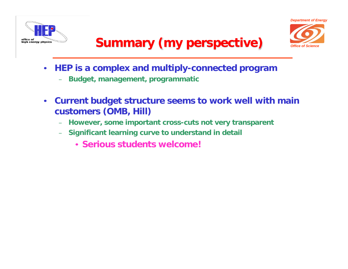



## **Summary (my perspective)**

- $\bullet$  **HEP is a complex and multiply-connected program**
	- **Budget, management, programmatic**
- $\bullet$  **Current budget structure seems to work well with main customers (OMB, Hill)**
	- –**However, some important cross-cuts not very transparent**
	- **Significant learning curve to understand in detail**
		- **Serious students welcome!**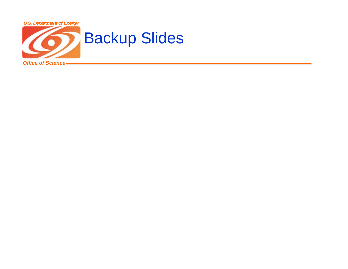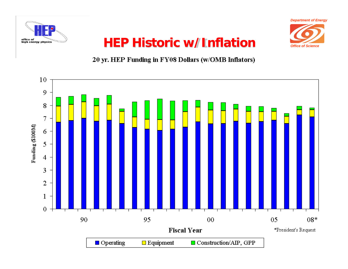



*Office of Science*

## **HEP Historic w/Inflation**

#### 20 yr. HEP Funding in FY08 Dollars (w/OMB Inflators)

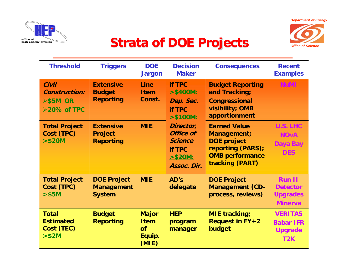



## **Strata of DOE Projects**

| <b>Threshold</b>                                                   | <b>Triggers</b>                                          | <b>DOE</b><br><b>Jargon</b>                          | <b>Decision</b><br><b>Maker</b>                                                               | <b>Consequences</b>                                                                                                        | <b>Recent</b><br><b>Examples</b>                                         |
|--------------------------------------------------------------------|----------------------------------------------------------|------------------------------------------------------|-----------------------------------------------------------------------------------------------|----------------------------------------------------------------------------------------------------------------------------|--------------------------------------------------------------------------|
| Civil<br><b>Construction:</b><br>$>$ \$5M OR<br><b>≻20% of TPC</b> | <b>Extensive</b><br><b>Budget</b><br><b>Reporting</b>    | <b>Line</b><br><b>Item</b><br>Const.                 | <b>if TPC</b><br>$> $400M$ :<br>Dep. Sec.<br><b>if TPC</b><br>$> $100M$ :                     | <b>Budget Reporting</b><br>and Tracking;<br><b>Congressional</b><br>visibility; OMB<br>apportionment                       | <b>NuMI</b>                                                              |
| <b>Total Project</b><br>Cost (TPC)<br>> \$20M                      | <b>Extensive</b><br><b>Project</b><br><b>Reporting</b>   | <b>MIE</b>                                           | Director,<br><b>Office of</b><br><b>Science</b><br><b>if TPC</b><br>$> $20M$ :<br>Assoc. Dir. | <b>Earned Value</b><br>Management;<br><b>DOE</b> project<br>reporting (PARS);<br><b>OMB performance</b><br>tracking (PART) | <b>U.S. LHC</b><br><b>NOvA</b><br>Daya Bay<br><b>DES</b>                 |
| <b>Total Project</b><br>Cost (TPC)<br>> \$5M                       | <b>DOE Project</b><br><b>Management</b><br><b>System</b> | <b>MIE</b>                                           | AD's<br>delegate                                                                              | <b>DOE Project</b><br><b>Management (CD-</b><br>process, reviews)                                                          | <b>Run II</b><br><b>Detector</b><br><b>Upgrades</b><br><b>Minerva</b>    |
| <b>Total</b><br><b>Estimated</b><br>Cost (TEC)<br>> \$2M           | <b>Budget</b><br><b>Reporting</b>                        | <b>Major</b><br><b>Item</b><br>of<br>Equip.<br>(MIE) | <b>HEP</b><br>program<br>manager                                                              | <b>MIE</b> tracking;<br><b>Request in FY+2</b><br>budget                                                                   | <b>VERITAS</b><br><b>Babar IFR</b><br><b>Upgrade</b><br>T <sub>2</sub> K |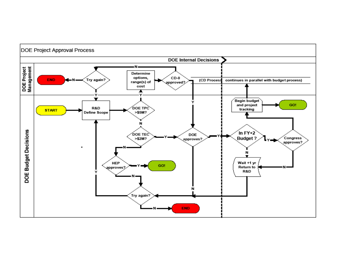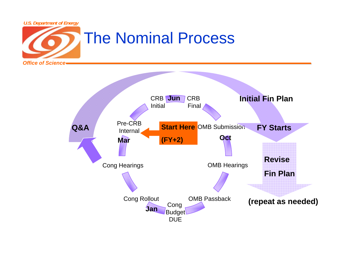